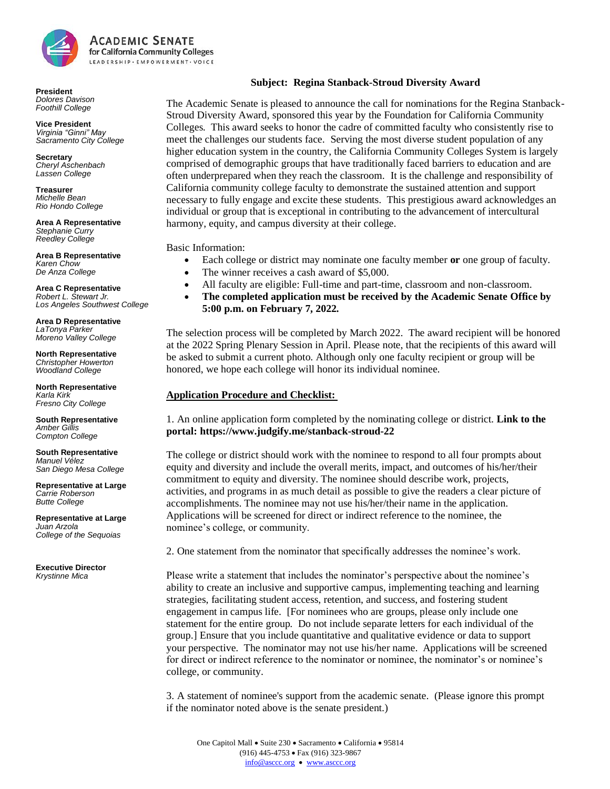

**President** *Dolores Davison Foothill College*

**Vice President** *Virginia "Ginni" May Sacramento City College*

**Secretary** *Cheryl Aschenbach Lassen College* 

**Treasurer** *Michelle Bean Rio Hondo College*

**Area A Representative** *Stephanie Curry Reedley College*

**Area B Representative** *Karen Chow De Anza College*

**Area C Representative** *Robert L. Stewart Jr. Los Angeles Southwest College*

**Area D Representative** *LaTonya Parker Moreno Valley College*

**North Representative** *Christopher Howerton Woodland College*

**North Representative** *Karla Kirk Fresno City College*

**South Representative** *Amber Gillis Compton College*

**South Representative** *Manuel Vélez San Diego Mesa College*

**Representative at Large** *Carrie Roberson Butte College* 

**Representative at Large** *Juan Arzola College of the Sequoias* 

**Executive Director** *Krystinne Mica*

## **Subject: Regina Stanback-Stroud Diversity Award**

The Academic Senate is pleased to announce the call for nominations for the Regina Stanback-Stroud Diversity Award, sponsored this year by the Foundation for California Community Colleges. This award seeks to honor the cadre of committed faculty who consistently rise to meet the challenges our students face. Serving the most diverse student population of any higher education system in the country, the California Community Colleges System is largely comprised of demographic groups that have traditionally faced barriers to education and are often underprepared when they reach the classroom. It is the challenge and responsibility of California community college faculty to demonstrate the sustained attention and support necessary to fully engage and excite these students. This prestigious award acknowledges an individual or group that is exceptional in contributing to the advancement of intercultural harmony, equity, and campus diversity at their college.

Basic Information:

- Each college or district may nominate one faculty member **or** one group of faculty.
- The winner receives a cash award of \$5,000.
- All faculty are eligible: Full-time and part-time, classroom and non-classroom.
- **The completed application must be received by the Academic Senate Office by 5:00 p.m. on February 7, 2022.**

The selection process will be completed by March 2022. The award recipient will be honored at the 2022 Spring Plenary Session in April. Please note, that the recipients of this award will be asked to submit a current photo. Although only one faculty recipient or group will be honored, we hope each college will honor its individual nominee.

## **Application Procedure and Checklist:**

1. An online application form completed by the nominating college or district. **Link to the portal: https://www.judgify.me/stanback-stroud-22**

The college or district should work with the nominee to respond to all four prompts about equity and diversity and include the overall merits, impact, and outcomes of his/her/their commitment to equity and diversity. The nominee should describe work, projects, activities, and programs in as much detail as possible to give the readers a clear picture of accomplishments. The nominee may not use his/her/their name in the application. Applications will be screened for direct or indirect reference to the nominee, the nominee's college, or community.

2. One statement from the nominator that specifically addresses the nominee's work.

Please write a statement that includes the nominator's perspective about the nominee's ability to create an inclusive and supportive campus, implementing teaching and learning strategies, facilitating student access, retention, and success, and fostering student engagement in campus life. [For nominees who are groups, please only include one statement for the entire group. Do not include separate letters for each individual of the group.] Ensure that you include quantitative and qualitative evidence or data to support your perspective. The nominator may not use his/her name. Applications will be screened for direct or indirect reference to the nominator or nominee, the nominator's or nominee's college, or community.

3. A statement of nominee's support from the academic senate. (Please ignore this prompt if the nominator noted above is the senate president.)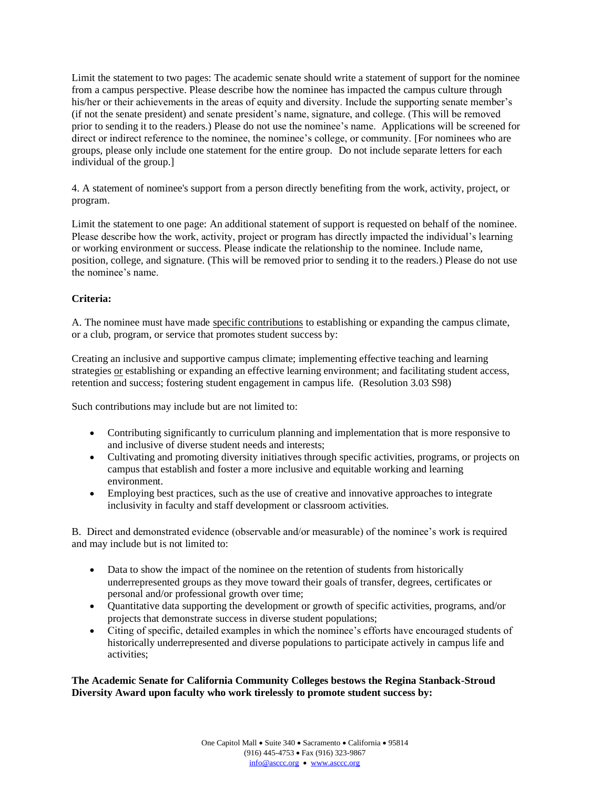Limit the statement to two pages: The academic senate should write a statement of support for the nominee from a campus perspective. Please describe how the nominee has impacted the campus culture through his/her or their achievements in the areas of equity and diversity. Include the supporting senate member's (if not the senate president) and senate president's name, signature, and college. (This will be removed prior to sending it to the readers.) Please do not use the nominee's name. Applications will be screened for direct or indirect reference to the nominee, the nominee's college, or community. [For nominees who are groups, please only include one statement for the entire group. Do not include separate letters for each individual of the group.]

4. A statement of nominee's support from a person directly benefiting from the work, activity, project, or program.

Limit the statement to one page: An additional statement of support is requested on behalf of the nominee. Please describe how the work, activity, project or program has directly impacted the individual's learning or working environment or success. Please indicate the relationship to the nominee. Include name, position, college, and signature. (This will be removed prior to sending it to the readers.) Please do not use the nominee's name.

## **Criteria:**

A. The nominee must have made specific contributions to establishing or expanding the campus climate, or a club, program, or service that promotes student success by:

Creating an inclusive and supportive campus climate; implementing effective teaching and learning strategies or establishing or expanding an effective learning environment; and facilitating student access, retention and success; fostering student engagement in campus life. (Resolution 3.03 S98)

Such contributions may include but are not limited to:

- Contributing significantly to curriculum planning and implementation that is more responsive to and inclusive of diverse student needs and interests;
- Cultivating and promoting diversity initiatives through specific activities, programs, or projects on campus that establish and foster a more inclusive and equitable working and learning environment.
- Employing best practices, such as the use of creative and innovative approaches to integrate inclusivity in faculty and staff development or classroom activities.

B. Direct and demonstrated evidence (observable and/or measurable) of the nominee's work is required and may include but is not limited to:

- Data to show the impact of the nominee on the retention of students from historically underrepresented groups as they move toward their goals of transfer, degrees, certificates or personal and/or professional growth over time;
- Quantitative data supporting the development or growth of specific activities, programs, and/or projects that demonstrate success in diverse student populations;
- Citing of specific, detailed examples in which the nominee's efforts have encouraged students of historically underrepresented and diverse populations to participate actively in campus life and activities;

**The Academic Senate for California Community Colleges bestows the Regina Stanback-Stroud Diversity Award upon faculty who work tirelessly to promote student success by:**